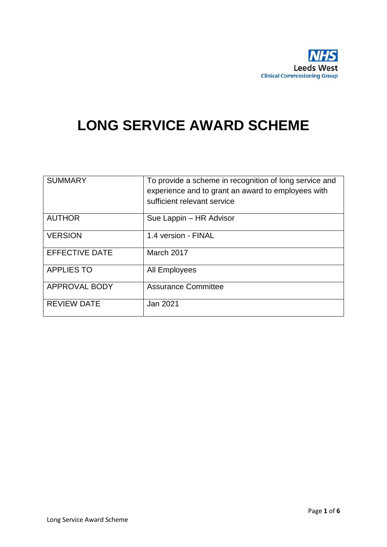

# **LONG SERVICE AWARD SCHEME**

| <b>SUMMARY</b>        | To provide a scheme in recognition of long service and<br>experience and to grant an award to employees with<br>sufficient relevant service |  |
|-----------------------|---------------------------------------------------------------------------------------------------------------------------------------------|--|
| <b>AUTHOR</b>         | Sue Lappin - HR Advisor                                                                                                                     |  |
| <b>VERSION</b>        | 1.4 version - FINAL                                                                                                                         |  |
| <b>EFFECTIVE DATE</b> | March 2017                                                                                                                                  |  |
| <b>APPLIES TO</b>     | All Employees                                                                                                                               |  |
| <b>APPROVAL BODY</b>  | <b>Assurance Committee</b>                                                                                                                  |  |
| <b>REVIEW DATE</b>    | Jan 2021                                                                                                                                    |  |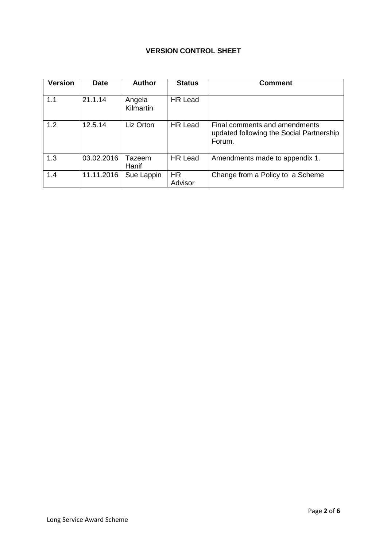### **VERSION CONTROL SHEET**

| <b>Version</b> | <b>Date</b> | <b>Author</b>       | <b>Status</b>        | <b>Comment</b>                                                                      |
|----------------|-------------|---------------------|----------------------|-------------------------------------------------------------------------------------|
| 1.1            | 21.1.14     | Angela<br>Kilmartin | HR Lead              |                                                                                     |
| 1.2            | 12.5.14     | Liz Orton           | HR Lead              | Final comments and amendments<br>updated following the Social Partnership<br>Forum. |
| 1.3            | 03.02.2016  | Tazeem<br>Hanif     | <b>HR Lead</b>       | Amendments made to appendix 1.                                                      |
| 1.4            | 11.11.2016  | Sue Lappin          | <b>HR</b><br>Advisor | Change from a Policy to a Scheme                                                    |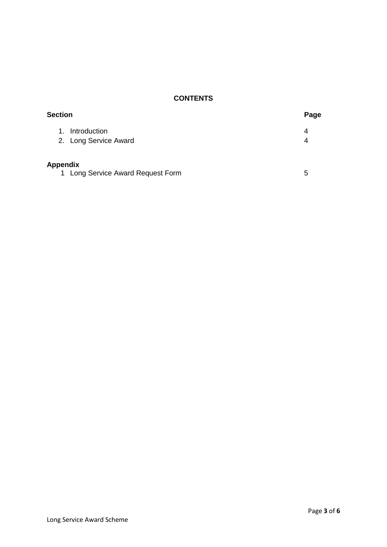### **CONTENTS**

| <b>Section</b>                    | Page |  |
|-----------------------------------|------|--|
| Introduction<br>1.                | 4    |  |
| 2. Long Service Award             | 4    |  |
| <b>Appendix</b>                   |      |  |
| 1 Long Service Award Request Form | 5    |  |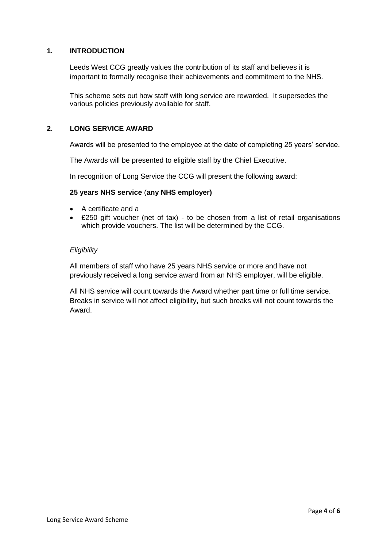#### **1. INTRODUCTION**

Leeds West CCG greatly values the contribution of its staff and believes it is important to formally recognise their achievements and commitment to the NHS.

This scheme sets out how staff with long service are rewarded. It supersedes the various policies previously available for staff.

#### **2. LONG SERVICE AWARD**

Awards will be presented to the employee at the date of completing 25 years' service.

The Awards will be presented to eligible staff by the Chief Executive.

In recognition of Long Service the CCG will present the following award:

#### **25 years NHS service** (**any NHS employer)**

- A certificate and a
- £250 gift voucher (net of tax) to be chosen from a list of retail organisations which provide vouchers. The list will be determined by the CCG.

#### *Eligibility*

All members of staff who have 25 years NHS service or more and have not previously received a long service award from an NHS employer, will be eligible.

All NHS service will count towards the Award whether part time or full time service. Breaks in service will not affect eligibility, but such breaks will not count towards the Award.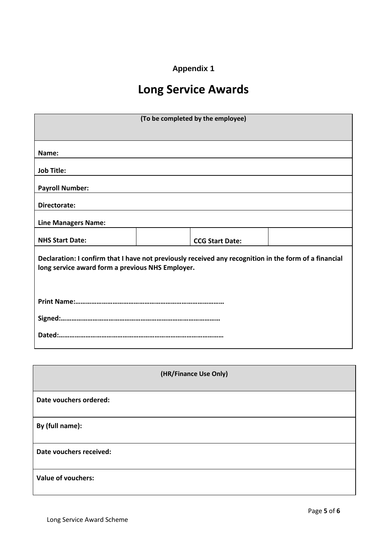## **Appendix 1**

# **Long Service Awards**

| (To be completed by the employee)                |                                                                                                       |  |  |  |
|--------------------------------------------------|-------------------------------------------------------------------------------------------------------|--|--|--|
| Name:                                            |                                                                                                       |  |  |  |
| <b>Job Title:</b>                                |                                                                                                       |  |  |  |
| <b>Payroll Number:</b>                           |                                                                                                       |  |  |  |
| Directorate:                                     |                                                                                                       |  |  |  |
| <b>Line Managers Name:</b>                       |                                                                                                       |  |  |  |
| <b>NHS Start Date:</b>                           | <b>CCG Start Date:</b>                                                                                |  |  |  |
| long service award form a previous NHS Employer. | Declaration: I confirm that I have not previously received any recognition in the form of a financial |  |  |  |
|                                                  |                                                                                                       |  |  |  |
|                                                  |                                                                                                       |  |  |  |
|                                                  |                                                                                                       |  |  |  |
|                                                  |                                                                                                       |  |  |  |
|                                                  | (HR/Finance Use Only)                                                                                 |  |  |  |
| Date vouchers ordered:                           |                                                                                                       |  |  |  |
| By (full name):                                  |                                                                                                       |  |  |  |
| Date vouchers received:                          |                                                                                                       |  |  |  |
| <b>Value of vouchers:</b>                        |                                                                                                       |  |  |  |